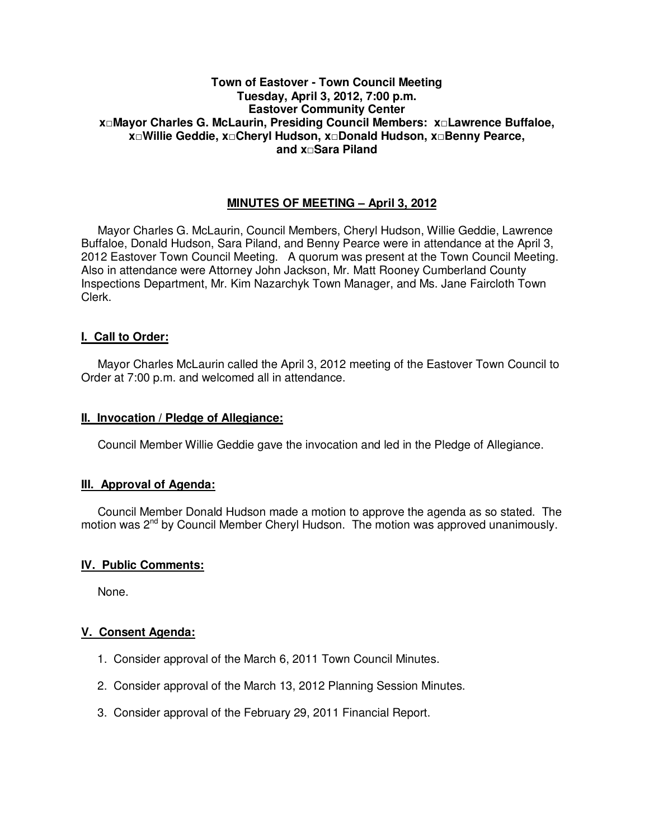## **Town of Eastover - Town Council Meeting Tuesday, April 3, 2012, 7:00 p.m. Eastover Community Center x□Mayor Charles G. McLaurin, Presiding Council Members: x□Lawrence Buffaloe, x□Willie Geddie, x□Cheryl Hudson, x□Donald Hudson, x□Benny Pearce, and x□Sara Piland**

# **MINUTES OF MEETING – April 3, 2012**

Mayor Charles G. McLaurin, Council Members, Cheryl Hudson, Willie Geddie, Lawrence Buffaloe, Donald Hudson, Sara Piland, and Benny Pearce were in attendance at the April 3, 2012 Eastover Town Council Meeting. A quorum was present at the Town Council Meeting. Also in attendance were Attorney John Jackson, Mr. Matt Rooney Cumberland County Inspections Department, Mr. Kim Nazarchyk Town Manager, and Ms. Jane Faircloth Town Clerk.

## **I. Call to Order:**

Mayor Charles McLaurin called the April 3, 2012 meeting of the Eastover Town Council to Order at 7:00 p.m. and welcomed all in attendance.

#### **II. Invocation / Pledge of Allegiance:**

Council Member Willie Geddie gave the invocation and led in the Pledge of Allegiance.

#### **III. Approval of Agenda:**

 Council Member Donald Hudson made a motion to approve the agenda as so stated. The motion was 2<sup>nd</sup> by Council Member Cheryl Hudson. The motion was approved unanimously.

#### **IV. Public Comments:**

None.

#### **V. Consent Agenda:**

- 1. Consider approval of the March 6, 2011 Town Council Minutes.
- 2. Consider approval of the March 13, 2012 Planning Session Minutes.
- 3. Consider approval of the February 29, 2011 Financial Report.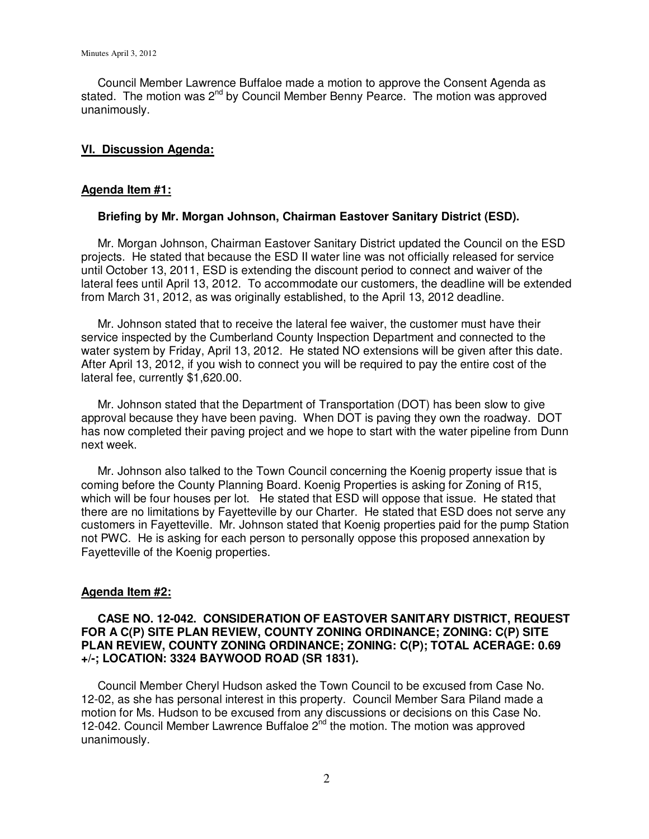Council Member Lawrence Buffaloe made a motion to approve the Consent Agenda as stated. The motion was  $2^{nd}$  by Council Member Benny Pearce. The motion was approved unanimously.

#### **VI. Discussion Agenda:**

### **Agenda Item #1:**

#### **Briefing by Mr. Morgan Johnson, Chairman Eastover Sanitary District (ESD).**

Mr. Morgan Johnson, Chairman Eastover Sanitary District updated the Council on the ESD projects. He stated that because the ESD II water line was not officially released for service until October 13, 2011, ESD is extending the discount period to connect and waiver of the lateral fees until April 13, 2012. To accommodate our customers, the deadline will be extended from March 31, 2012, as was originally established, to the April 13, 2012 deadline.

 Mr. Johnson stated that to receive the lateral fee waiver, the customer must have their service inspected by the Cumberland County Inspection Department and connected to the water system by Friday, April 13, 2012. He stated NO extensions will be given after this date. After April 13, 2012, if you wish to connect you will be required to pay the entire cost of the lateral fee, currently \$1,620.00.

 Mr. Johnson stated that the Department of Transportation (DOT) has been slow to give approval because they have been paving. When DOT is paving they own the roadway. DOT has now completed their paving project and we hope to start with the water pipeline from Dunn next week.

 Mr. Johnson also talked to the Town Council concerning the Koenig property issue that is coming before the County Planning Board. Koenig Properties is asking for Zoning of R15, which will be four houses per lot. He stated that ESD will oppose that issue. He stated that there are no limitations by Fayetteville by our Charter. He stated that ESD does not serve any customers in Fayetteville. Mr. Johnson stated that Koenig properties paid for the pump Station not PWC. He is asking for each person to personally oppose this proposed annexation by Fayetteville of the Koenig properties.

#### **Agenda Item #2:**

### **CASE NO. 12-042. CONSIDERATION OF EASTOVER SANITARY DISTRICT, REQUEST FOR A C(P) SITE PLAN REVIEW, COUNTY ZONING ORDINANCE; ZONING: C(P) SITE PLAN REVIEW, COUNTY ZONING ORDINANCE; ZONING: C(P); TOTAL ACERAGE: 0.69 +/-; LOCATION: 3324 BAYWOOD ROAD (SR 1831).**

 Council Member Cheryl Hudson asked the Town Council to be excused from Case No. 12-02, as she has personal interest in this property. Council Member Sara Piland made a motion for Ms. Hudson to be excused from any discussions or decisions on this Case No. 12-042. Council Member Lawrence Buffaloe 2<sup>nd</sup> the motion. The motion was approved unanimously.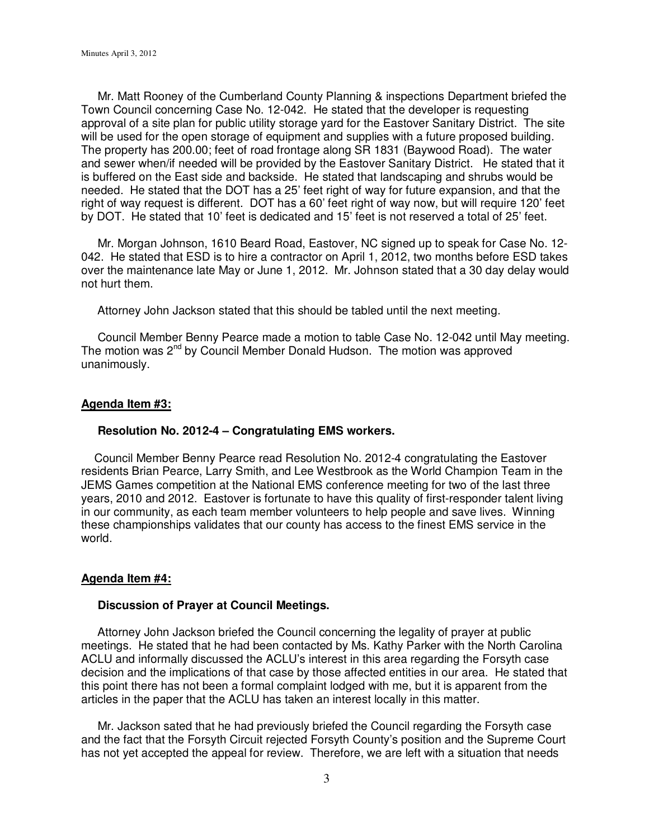Mr. Matt Rooney of the Cumberland County Planning & inspections Department briefed the Town Council concerning Case No. 12-042. He stated that the developer is requesting approval of a site plan for public utility storage yard for the Eastover Sanitary District. The site will be used for the open storage of equipment and supplies with a future proposed building. The property has 200.00; feet of road frontage along SR 1831 (Baywood Road). The water and sewer when/if needed will be provided by the Eastover Sanitary District. He stated that it is buffered on the East side and backside. He stated that landscaping and shrubs would be needed. He stated that the DOT has a 25' feet right of way for future expansion, and that the right of way request is different. DOT has a 60' feet right of way now, but will require 120' feet by DOT. He stated that 10' feet is dedicated and 15' feet is not reserved a total of 25' feet.

 Mr. Morgan Johnson, 1610 Beard Road, Eastover, NC signed up to speak for Case No. 12- 042. He stated that ESD is to hire a contractor on April 1, 2012, two months before ESD takes over the maintenance late May or June 1, 2012. Mr. Johnson stated that a 30 day delay would not hurt them.

Attorney John Jackson stated that this should be tabled until the next meeting.

 Council Member Benny Pearce made a motion to table Case No. 12-042 until May meeting. The motion was 2<sup>nd</sup> by Council Member Donald Hudson. The motion was approved unanimously.

#### **Agenda Item #3:**

#### **Resolution No. 2012-4 – Congratulating EMS workers.**

 Council Member Benny Pearce read Resolution No. 2012-4 congratulating the Eastover residents Brian Pearce, Larry Smith, and Lee Westbrook as the World Champion Team in the JEMS Games competition at the National EMS conference meeting for two of the last three years, 2010 and 2012. Eastover is fortunate to have this quality of first-responder talent living in our community, as each team member volunteers to help people and save lives. Winning these championships validates that our county has access to the finest EMS service in the world.

#### **Agenda Item #4:**

#### **Discussion of Prayer at Council Meetings.**

 Attorney John Jackson briefed the Council concerning the legality of prayer at public meetings. He stated that he had been contacted by Ms. Kathy Parker with the North Carolina ACLU and informally discussed the ACLU's interest in this area regarding the Forsyth case decision and the implications of that case by those affected entities in our area. He stated that this point there has not been a formal complaint lodged with me, but it is apparent from the articles in the paper that the ACLU has taken an interest locally in this matter.

 Mr. Jackson sated that he had previously briefed the Council regarding the Forsyth case and the fact that the Forsyth Circuit rejected Forsyth County's position and the Supreme Court has not yet accepted the appeal for review. Therefore, we are left with a situation that needs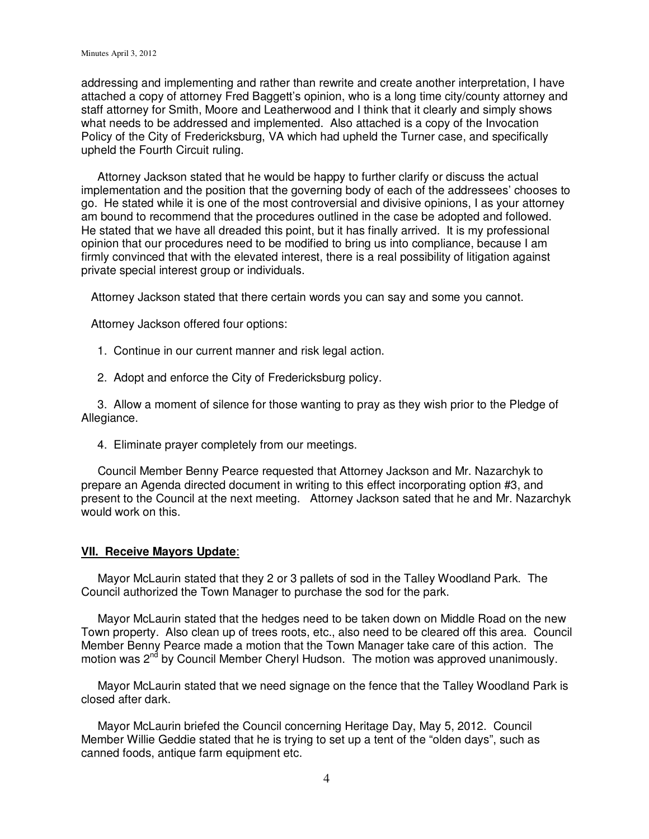addressing and implementing and rather than rewrite and create another interpretation, I have attached a copy of attorney Fred Baggett's opinion, who is a long time city/county attorney and staff attorney for Smith, Moore and Leatherwood and I think that it clearly and simply shows what needs to be addressed and implemented. Also attached is a copy of the Invocation Policy of the City of Fredericksburg, VA which had upheld the Turner case, and specifically upheld the Fourth Circuit ruling.

 Attorney Jackson stated that he would be happy to further clarify or discuss the actual implementation and the position that the governing body of each of the addressees' chooses to go. He stated while it is one of the most controversial and divisive opinions, I as your attorney am bound to recommend that the procedures outlined in the case be adopted and followed. He stated that we have all dreaded this point, but it has finally arrived. It is my professional opinion that our procedures need to be modified to bring us into compliance, because I am firmly convinced that with the elevated interest, there is a real possibility of litigation against private special interest group or individuals.

Attorney Jackson stated that there certain words you can say and some you cannot.

Attorney Jackson offered four options:

- 1. Continue in our current manner and risk legal action.
- 2. Adopt and enforce the City of Fredericksburg policy.

 3. Allow a moment of silence for those wanting to pray as they wish prior to the Pledge of Allegiance.

4. Eliminate prayer completely from our meetings.

 Council Member Benny Pearce requested that Attorney Jackson and Mr. Nazarchyk to prepare an Agenda directed document in writing to this effect incorporating option #3, and present to the Council at the next meeting. Attorney Jackson sated that he and Mr. Nazarchyk would work on this.

#### **VII. Receive Mayors Update**:

 Mayor McLaurin stated that they 2 or 3 pallets of sod in the Talley Woodland Park. The Council authorized the Town Manager to purchase the sod for the park.

 Mayor McLaurin stated that the hedges need to be taken down on Middle Road on the new Town property. Also clean up of trees roots, etc., also need to be cleared off this area. Council Member Benny Pearce made a motion that the Town Manager take care of this action. The motion was  $2^{nd}$  by Council Member Cheryl Hudson. The motion was approved unanimously.

 Mayor McLaurin stated that we need signage on the fence that the Talley Woodland Park is closed after dark.

 Mayor McLaurin briefed the Council concerning Heritage Day, May 5, 2012. Council Member Willie Geddie stated that he is trying to set up a tent of the "olden days", such as canned foods, antique farm equipment etc.